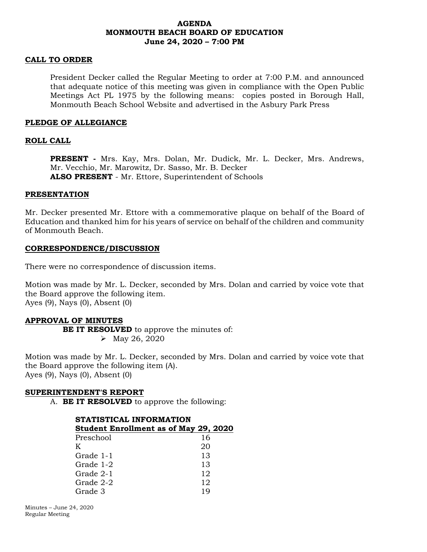# **AGENDA MONMOUTH BEACH BOARD OF EDUCATION June 24, 2020 – 7:00 PM**

## **CALL TO ORDER**

President Decker called the Regular Meeting to order at 7:00 P.M. and announced that adequate notice of this meeting was given in compliance with the Open Public Meetings Act PL 1975 by the following means: copies posted in Borough Hall, Monmouth Beach School Website and advertised in the Asbury Park Press

### **PLEDGE OF ALLEGIANCE**

### **ROLL CALL**

**PRESENT -** Mrs. Kay, Mrs. Dolan, Mr. Dudick, Mr. L. Decker, Mrs. Andrews, Mr. Vecchio, Mr. Marowitz, Dr. Sasso, Mr. B. Decker **ALSO PRESENT** - Mr. Ettore, Superintendent of Schools

#### **PRESENTATION**

Mr. Decker presented Mr. Ettore with a commemorative plaque on behalf of the Board of Education and thanked him for his years of service on behalf of the children and community of Monmouth Beach.

### **CORRESPONDENCE/DISCUSSION**

There were no correspondence of discussion items.

Motion was made by Mr. L. Decker, seconded by Mrs. Dolan and carried by voice vote that the Board approve the following item. Ayes (9), Nays (0), Absent (0)

#### **APPROVAL OF MINUTES**

**BE IT RESOLVED** to approve the minutes of: • May 26, 2020

Motion was made by Mr. L. Decker, seconded by Mrs. Dolan and carried by voice vote that the Board approve the following item (A). Ayes (9), Nays (0), Absent (0)

#### **SUPERINTENDENT'S REPORT**

A. **BE IT RESOLVED** to approve the following:

| STATISTICAL INFORMATION                      |     |  |
|----------------------------------------------|-----|--|
| <b>Student Enrollment as of May 29, 2020</b> |     |  |
| Preschool                                    | 16  |  |
| K                                            | 20  |  |
| Grade 1-1                                    | 13  |  |
| Grade 1-2                                    | 13  |  |
| Grade 2-1                                    | 12  |  |
| Grade 2-2                                    | 12  |  |
| Grade 3                                      | 1 Q |  |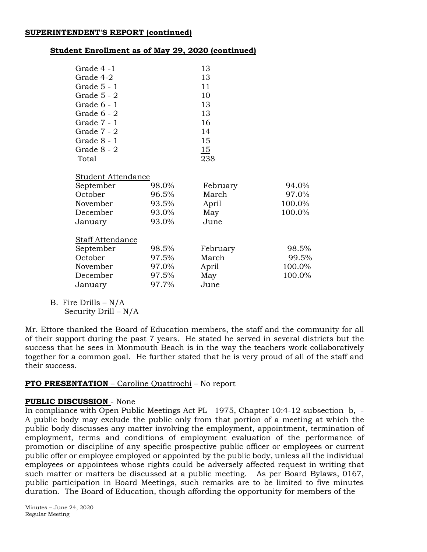# **SUPERINTENDENT'S REPORT (continued)**

# **Student Enrollment as of May 29, 2020 (continued)**

| Grade 4 -1              |       | 13       |        |
|-------------------------|-------|----------|--------|
| Grade 4-2               |       | 13       |        |
| Grade 5 - 1             |       | 11       |        |
| Grade 5 - 2             |       | 10       |        |
| Grade 6 - 1             |       | 13       |        |
| Grade 6 - 2             |       | 13       |        |
| Grade 7 - 1             |       | 16       |        |
| Grade 7 - 2             |       | 14       |        |
| Grade 8 - 1             |       | 15       |        |
| Grade 8 - 2             |       | 15       |        |
| Total                   |       | 238      |        |
|                         |       |          |        |
| Student Attendance      |       |          |        |
| September               | 98.0% | February | 94.0%  |
| October                 | 96.5% | March    | 97.0%  |
| November                | 93.5% | April    | 100.0% |
| December                | 93.0% | May      | 100.0% |
| January                 | 93.0% | June     |        |
| <b>Staff Attendance</b> |       |          |        |
| September               | 98.5% | February | 98.5%  |
| October                 | 97.5% | March    | 99.5%  |
| November                | 97.0% | April    | 100.0% |
| December                | 97.5% | May      | 100.0% |
| January                 | 97.7% | June     |        |

B. Fire Drills  $-N/A$ Security Drill – N/A

Mr. Ettore thanked the Board of Education members, the staff and the community for all of their support during the past 7 years. He stated he served in several districts but the success that he sees in Monmouth Beach is in the way the teachers work collaboratively together for a common goal. He further stated that he is very proud of all of the staff and their success.

# **PTO PRESENTATION** – Caroline Quattrochi – No report

# **PUBLIC DISCUSSION** - None

In compliance with Open Public Meetings Act PL 1975, Chapter 10:4-12 subsection b, - A public body may exclude the public only from that portion of a meeting at which the public body discusses any matter involving the employment, appointment, termination of employment, terms and conditions of employment evaluation of the performance of promotion or discipline of any specific prospective public officer or employees or current public offer or employee employed or appointed by the public body, unless all the individual employees or appointees whose rights could be adversely affected request in writing that such matter or matters be discussed at a public meeting. As per Board Bylaws, 0167, public participation in Board Meetings, such remarks are to be limited to five minutes duration. The Board of Education, though affording the opportunity for members of the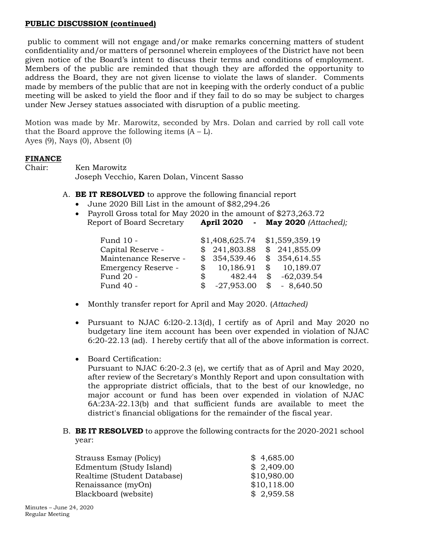# **PUBLIC DISCUSSION (continued)**

public to comment will not engage and/or make remarks concerning matters of student confidentiality and/or matters of personnel wherein employees of the District have not been given notice of the Board's intent to discuss their terms and conditions of employment. Members of the public are reminded that though they are afforded the opportunity to address the Board, they are not given license to violate the laws of slander. Comments made by members of the public that are not in keeping with the orderly conduct of a public meeting will be asked to yield the floor and if they fail to do so may be subject to charges under New Jersey statues associated with disruption of a public meeting.

Motion was made by Mr. Marowitz, seconded by Mrs. Dolan and carried by roll call vote that the Board approve the following items  $(A - L)$ . Ayes (9), Nays (0), Absent (0)

# **FINANCE**

Chair: Ken Marowitz Joseph Vecchio, Karen Dolan, Vincent Sasso

- A. **BE IT RESOLVED** to approve the following financial report
	- June 2020 Bill List in the amount of \$82,294.26
	- Payroll Gross total for May 2020 in the amount of \$273,263.72 Report of Board Secretary **April 2020 - May 2020** *(Attached);*

| Fund 10 -             |            | \$1,408,625.74 |              | \$1,559,359.19 |
|-----------------------|------------|----------------|--------------|----------------|
| Capital Reserve -     |            | \$241,803.88   |              | \$241,855.09   |
| Maintenance Reserve - |            | \$354,539.46   |              | \$354,614.55   |
| Emergency Reserve -   | $^{\circ}$ | 10,186.91      |              | \$10,189.07    |
| Fund 20 -             | $^{\circ}$ | 482.44         | $\mathbb{S}$ | $-62,039.54$   |
| Fund 40 -             | S          | $-27,953.00$   | \$           | $-8,640.50$    |

- Monthly transfer report for April and May 2020. (*Attached)*
- Pursuant to NJAC 6:l20-2.13(d), I certify as of April and May 2020 no budgetary line item account has been over expended in violation of NJAC 6:20-22.13 (ad). I hereby certify that all of the above information is correct.
- Board Certification:
	- Pursuant to NJAC 6:20-2.3 (e), we certify that as of April and May 2020, after review of the Secretary's Monthly Report and upon consultation with the appropriate district officials, that to the best of our knowledge, no major account or fund has been over expended in violation of NJAC 6A:23A-22.13(b) and that sufficient funds are available to meet the district's financial obligations for the remainder of the fiscal year.
- B. **BE IT RESOLVED** to approve the following contracts for the 2020-2021 school year:

| Strauss Esmay (Policy)      | \$4,685.00  |
|-----------------------------|-------------|
| Edmentum (Study Island)     | \$2,409.00  |
| Realtime (Student Database) | \$10,980.00 |
| Renaissance (myOn)          | \$10,118.00 |
| Blackboard (website)        | \$2,959.58  |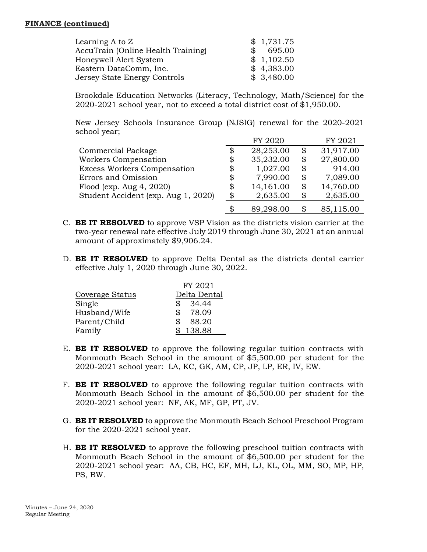# **FINANCE (continued)**

| Learning $A$ to $Z$                |               | \$1,731.75 |
|------------------------------------|---------------|------------|
| AccuTrain (Online Health Training) | $\mathcal{R}$ | 695.00     |
| Honeywell Alert System             |               | \$1,102.50 |
| Eastern DataComm, Inc.             |               | \$4,383.00 |
| Jersey State Energy Controls       |               | \$3,480.00 |

Brookdale Education Networks (Literacy, Technology, Math/Science) for the 2020-2021 school year, not to exceed a total district cost of \$1,950.00.

New Jersey Schools Insurance Group (NJSIG) renewal for the 2020-2021 school year;

|                                     | FY 2020         | FY 2021         |
|-------------------------------------|-----------------|-----------------|
| Commercial Package                  | \$<br>28,253.00 | \$<br>31,917.00 |
| Workers Compensation                | \$<br>35,232.00 | \$<br>27,800.00 |
| <b>Excess Workers Compensation</b>  | \$<br>1,027.00  | \$<br>914.00    |
| Errors and Omission                 | \$<br>7,990.00  | \$<br>7,089.00  |
| Flood (exp. Aug $4, 2020$ )         | \$<br>14,161.00 | \$<br>14,760.00 |
| Student Accident (exp. Aug 1, 2020) | \$<br>2,635.00  | \$<br>2,635.00  |
|                                     | \$<br>89,298.00 | 85,115.00       |

- C. **BE IT RESOLVED** to approve VSP Vision as the districts vision carrier at the two-year renewal rate effective July 2019 through June 30, 2021 at an annual amount of approximately \$9,906.24.
- D. **BE IT RESOLVED** to approve Delta Dental as the districts dental carrier effective July 1, 2020 through June 30, 2022.

|                 | FY 2021      |
|-----------------|--------------|
| Coverage Status | Delta Dental |
| Single          | \$<br>34.44  |
| Husband/Wife    | 78.09<br>\$  |
| Parent/Child    | \$<br>88.20  |
| Family          | 138.88       |

- E. **BE IT RESOLVED** to approve the following regular tuition contracts with Monmouth Beach School in the amount of \$5,500.00 per student for the 2020-2021 school year: LA, KC, GK, AM, CP, JP, LP, ER, IV, EW.
- F. **BE IT RESOLVED** to approve the following regular tuition contracts with Monmouth Beach School in the amount of \$6,500.00 per student for the 2020-2021 school year: NF, AK, MF, GP, PT, JV.
- G. **BE IT RESOLVED** to approve the Monmouth Beach School Preschool Program for the 2020-2021 school year.
- H. **BE IT RESOLVED** to approve the following preschool tuition contracts with Monmouth Beach School in the amount of \$6,500.00 per student for the 2020-2021 school year: AA, CB, HC, EF, MH, LJ, KL, OL, MM, SO, MP, HP, PS, BW.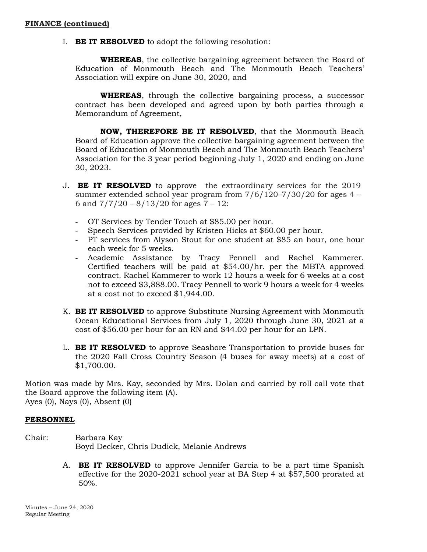I. **BE IT RESOLVED** to adopt the following resolution:

**WHEREAS**, the collective bargaining agreement between the Board of Education of Monmouth Beach and The Monmouth Beach Teachers' Association will expire on June 30, 2020, and

**WHEREAS**, through the collective bargaining process, a successor contract has been developed and agreed upon by both parties through a Memorandum of Agreement,

**NOW, THEREFORE BE IT RESOLVED**, that the Monmouth Beach Board of Education approve the collective bargaining agreement between the Board of Education of Monmouth Beach and The Monmouth Beach Teachers' Association for the 3 year period beginning July 1, 2020 and ending on June 30, 2023.

- J. **BE IT RESOLVED** to approve the extraordinary services for the 2019 summer extended school year program from  $7/6/120-7/30/20$  for ages  $4 -$ 6 and  $7/7/20 - 8/13/20$  for ages  $7 - 12$ :
	- OT Services by Tender Touch at \$85.00 per hour.
	- Speech Services provided by Kristen Hicks at \$60.00 per hour.
	- PT services from Alyson Stout for one student at \$85 an hour, one hour each week for 5 weeks.
	- Academic Assistance by Tracy Pennell and Rachel Kammerer. Certified teachers will be paid at \$54.00/hr. per the MBTA approved contract. Rachel Kammerer to work 12 hours a week for 6 weeks at a cost not to exceed \$3,888.00. Tracy Pennell to work 9 hours a week for 4 weeks at a cost not to exceed \$1,944.00.
- K. **BE IT RESOLVED** to approve Substitute Nursing Agreement with Monmouth Ocean Educational Services from July 1, 2020 through June 30, 2021 at a cost of \$56.00 per hour for an RN and \$44.00 per hour for an LPN.
- L. **BE IT RESOLVED** to approve Seashore Transportation to provide buses for the 2020 Fall Cross Country Season (4 buses for away meets) at a cost of \$1,700.00.

Motion was made by Mrs. Kay, seconded by Mrs. Dolan and carried by roll call vote that the Board approve the following item (A). Ayes (0), Nays (0), Absent (0)

# **PERSONNEL**

- Chair: Barbara Kay Boyd Decker, Chris Dudick, Melanie Andrews
	- A. **BE IT RESOLVED** to approve Jennifer Garcia to be a part time Spanish effective for the 2020-2021 school year at BA Step 4 at \$57,500 prorated at 50%.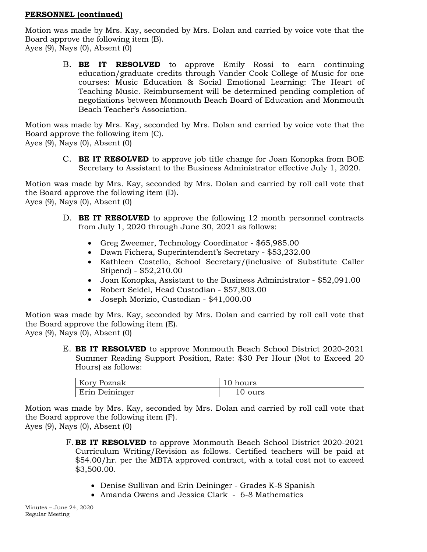# **PERSONNEL (continued)**

Motion was made by Mrs. Kay, seconded by Mrs. Dolan and carried by voice vote that the Board approve the following item (B). Ayes (9), Nays (0), Absent (0)

B. **BE IT RESOLVED** to approve Emily Rossi to earn continuing education/graduate credits through Vander Cook College of Music for one courses: Music Education & Social Emotional Learning: The Heart of Teaching Music. Reimbursement will be determined pending completion of negotiations between Monmouth Beach Board of Education and Monmouth Beach Teacher's Association.

Motion was made by Mrs. Kay, seconded by Mrs. Dolan and carried by voice vote that the Board approve the following item (C).

Ayes (9), Nays (0), Absent (0)

C. **BE IT RESOLVED** to approve job title change for Joan Konopka from BOE Secretary to Assistant to the Business Administrator effective July 1, 2020.

Motion was made by Mrs. Kay, seconded by Mrs. Dolan and carried by roll call vote that the Board approve the following item (D). Ayes (9), Nays (0), Absent (0)

- D. **BE IT RESOLVED** to approve the following 12 month personnel contracts from July 1, 2020 through June 30, 2021 as follows:
	- Greg Zweemer, Technology Coordinator \$65,985.00
	- Dawn Fichera, Superintendent's Secretary \$53,232.00
	- Kathleen Costello, School Secretary/(inclusive of Substitute Caller Stipend) - \$52,210.00
	- Joan Konopka, Assistant to the Business Administrator \$52,091.00
	- Robert Seidel, Head Custodian \$57,803.00
	- Joseph Morizio, Custodian \$41,000.00

Motion was made by Mrs. Kay, seconded by Mrs. Dolan and carried by roll call vote that the Board approve the following item (E).

Ayes (9), Nays (0), Absent (0)

E. **BE IT RESOLVED** to approve Monmouth Beach School District 2020-2021 Summer Reading Support Position, Rate: \$30 Per Hour (Not to Exceed 20 Hours) as follows:

| Kory Poznak           | 10 hours |
|-----------------------|----------|
| <b>Erin Deininger</b> | 0 ours د |

Motion was made by Mrs. Kay, seconded by Mrs. Dolan and carried by roll call vote that the Board approve the following item (F).

Ayes (9), Nays (0), Absent (0)

- Denise Sullivan and Erin Deininger Grades K-8 Spanish
- Amanda Owens and Jessica Clark 6-8 Mathematics

F. **BE IT RESOLVED** to approve Monmouth Beach School District 2020-2021 Curriculum Writing/Revision as follows. Certified teachers will be paid at \$54.00/hr. per the MBTA approved contract, with a total cost not to exceed \$3,500.00.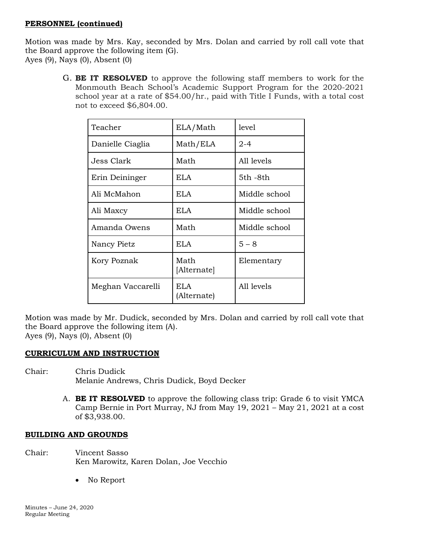# **PERSONNEL (continued)**

Motion was made by Mrs. Kay, seconded by Mrs. Dolan and carried by roll call vote that the Board approve the following item (G). Ayes (9), Nays (0), Absent (0)

> G. **BE IT RESOLVED** to approve the following staff members to work for the Monmouth Beach School's Academic Support Program for the 2020-2021 school year at a rate of \$54.00/hr., paid with Title I Funds, with a total cost not to exceed \$6,804.00.

| Teacher           | ELA/Math            | level         |
|-------------------|---------------------|---------------|
| Danielle Ciaglia  | Math/ELA            | $2 - 4$       |
| Jess Clark        | Math                | All levels    |
| Erin Deininger    | ELA.                | 5th -8th      |
| Ali McMahon       | ELA.                | Middle school |
| Ali Maxcy         | ELA.                | Middle school |
| Amanda Owens      | Math                | Middle school |
| Nancy Pietz       | ELA                 | $5 - 8$       |
| Kory Poznak       | Math<br>[Alternate] | Elementary    |
| Meghan Vaccarelli | ELA.<br>(Alternate) | All levels    |

Motion was made by Mr. Dudick, seconded by Mrs. Dolan and carried by roll call vote that the Board approve the following item (A). Ayes (9), Nays (0), Absent (0)

**CURRICULUM AND INSTRUCTION**

- Chair: Chris Dudick Melanie Andrews, Chris Dudick, Boyd Decker
	- A. **BE IT RESOLVED** to approve the following class trip: Grade 6 to visit YMCA Camp Bernie in Port Murray, NJ from May 19, 2021 – May 21, 2021 at a cost of \$3,938.00.

# **BUILDING AND GROUNDS**

- Chair: Vincent Sasso Ken Marowitz, Karen Dolan, Joe Vecchio
	- No Report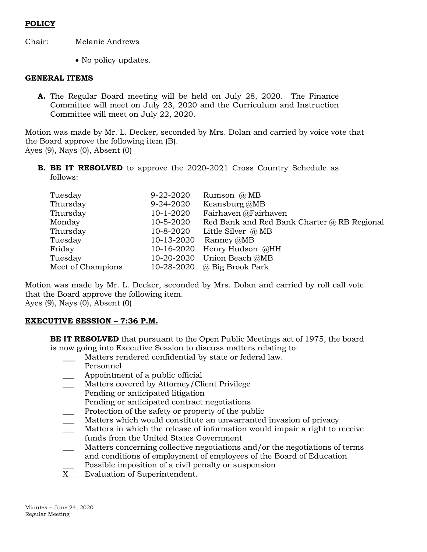# **POLICY**

Chair: Melanie Andrews

• No policy updates.

# **GENERAL ITEMS**

**A.** The Regular Board meeting will be held on July 28, 2020. The Finance Committee will meet on July 23, 2020 and the Curriculum and Instruction Committee will meet on July 22, 2020.

Motion was made by Mr. L. Decker, seconded by Mrs. Dolan and carried by voice vote that the Board approve the following item (B). Ayes (9), Nays (0), Absent (0)

**B. BE IT RESOLVED** to approve the 2020-2021 Cross Country Schedule as follows:

| Tuesday           | 9-22-2020  | Rumson $\omega$ MB                          |
|-------------------|------------|---------------------------------------------|
| Thursday          | 9-24-2020  | Keansburg @MB                               |
| Thursday          | 10-1-2020  | Fairhaven @Fairhaven                        |
| Monday            | 10-5-2020  | Red Bank and Red Bank Charter @ RB Regional |
| Thursday          | 10-8-2020  | Little Silver $\omega$ MB                   |
| Tuesday           | 10-13-2020 | Ranney @MB                                  |
| Friday            | 10-16-2020 | Henry Hudson @HH                            |
| Tuesday           | 10-20-2020 | Union Beach @MB                             |
| Meet of Champions | 10-28-2020 | @ Big Brook Park                            |

Motion was made by Mr. L. Decker, seconded by Mrs. Dolan and carried by roll call vote that the Board approve the following item. Ayes (9), Nays (0), Absent (0)

# **EXECUTIVE SESSION – 7:36 P.M.**

**BE IT RESOLVED** that pursuant to the Open Public Meetings act of 1975, the board is now going into Executive Session to discuss matters relating to:

- Matters rendered confidential by state or federal law.
- Personnel
- Appointment of a public official
- Matters covered by Attorney/Client Privilege
- Pending or anticipated litigation
- Pending or anticipated contract negotiations
- Protection of the safety or property of the public
- Matters which would constitute an unwarranted invasion of privacy
- Matters in which the release of information would impair a right to receive funds from the United States Government
- \_\_\_ Matters concerning collective negotiations and/or the negotiations of terms and conditions of employment of employees of the Board of Education
- Possible imposition of a civil penalty or suspension
- X Evaluation of Superintendent.